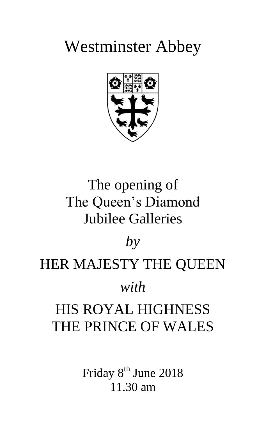# Westminster Abbey



## The opening of The Queen's Diamond Jubilee Galleries

### *by*

### HER MAJESTY THE QUEEN

### *with*

### HIS ROYAL HIGHNESS THE PRINCE OF WALES

Friday 8<sup>th</sup> June 2018 11.30 am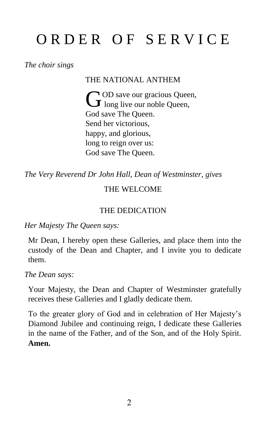## ORDER OF SERVICE

*The choir sings*

THE NATIONAL ANTHEM

OD save our gracious Queen, GOD save our gracious Quee<br>
O long live our noble Queen, God save The Queen. Send her victorious, happy, and glorious, long to reign over us: God save The Queen.

*The Very Reverend Dr John Hall, Dean of Westminster, gives*

#### THE WELCOME

#### THE DEDICATION

*Her Majesty The Queen says:*

Mr Dean, I hereby open these Galleries, and place them into the custody of the Dean and Chapter, and I invite you to dedicate them.

*The Dean says:*

Your Majesty, the Dean and Chapter of Westminster gratefully receives these Galleries and I gladly dedicate them.

To the greater glory of God and in celebration of Her Majesty's Diamond Jubilee and continuing reign, I dedicate these Galleries in the name of the Father, and of the Son, and of the Holy Spirit. **Amen.**